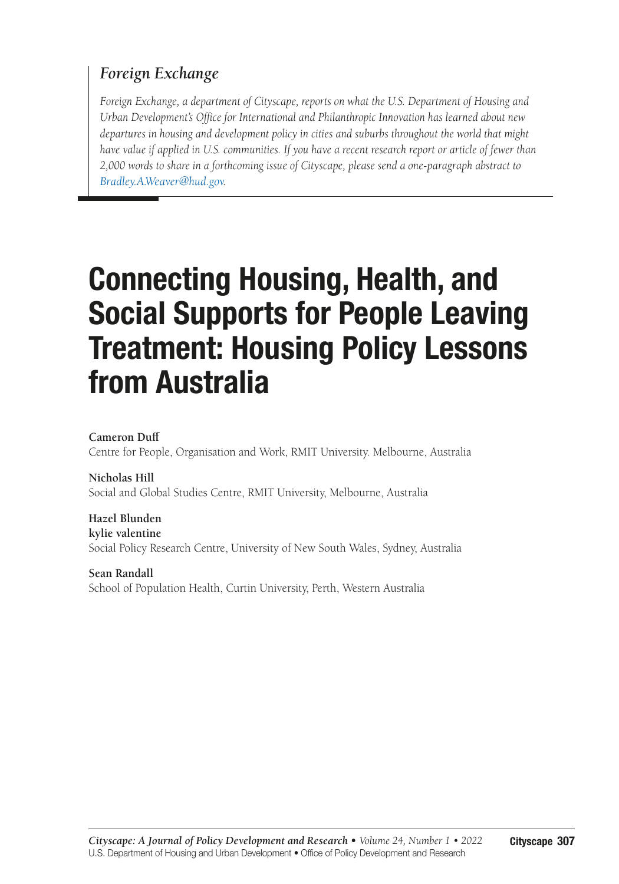### *Foreign Exchange*

*Foreign Exchange, a department of Cityscape, reports on what the U.S. Department of Housing and Urban Development's Office for International and Philanthropic Innovation has learned about new departures in housing and development policy in cities and suburbs throughout the world that might have value if applied in U.S. communities. If you have a recent research report or article of fewer than 2,000 words to share in a forthcoming issue of Cityscape, please send a one-paragraph abstract to [Bradley.A.Weaver@hud.gov.](mailto:Bradley.A.Weaver@hud.gov?subject=)*

# Connecting Housing, Health, and Social Supports for People Leaving Treatment: Housing Policy Lessons from Australia

**Cameron Duff** Centre for People, Organisation and Work, RMIT University. Melbourne, Australia

**Nicholas Hill** Social and Global Studies Centre, RMIT University, Melbourne, Australia

**Hazel Blunden kylie valentine** Social Policy Research Centre, University of New South Wales, Sydney, Australia

**Sean Randall** School of Population Health, Curtin University, Perth, Western Australia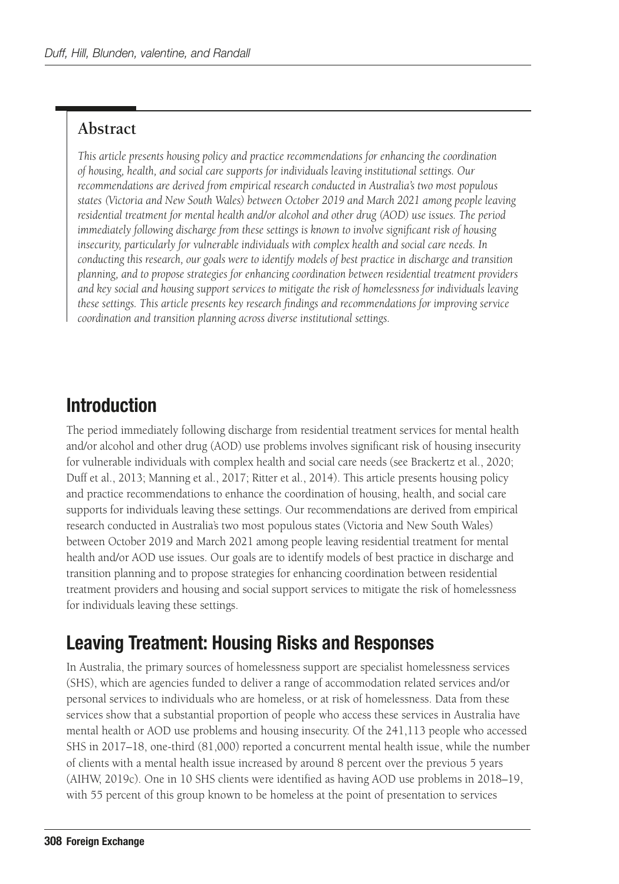#### **Abstract**

*This article presents housing policy and practice recommendations for enhancing the coordination of housing, health, and social care supports for individuals leaving institutional settings. Our recommendations are derived from empirical research conducted in Australia's two most populous states (Victoria and New South Wales) between October 2019 and March 2021 among people leaving residential treatment for mental health and/or alcohol and other drug (AOD) use issues. The period immediately following discharge from these settings is known to involve significant risk of housing insecurity, particularly for vulnerable individuals with complex health and social care needs. In conducting this research, our goals were to identify models of best practice in discharge and transition planning, and to propose strategies for enhancing coordination between residential treatment providers and key social and housing support services to mitigate the risk of homelessness for individuals leaving these settings. This article presents key research findings and recommendations for improving service coordination and transition planning across diverse institutional settings.*

### Introduction

The period immediately following discharge from residential treatment services for mental health and/or alcohol and other drug (AOD) use problems involves significant risk of housing insecurity for vulnerable individuals with complex health and social care needs (see Brackertz et al., 2020; Duff et al., 2013; Manning et al., 2017; Ritter et al., 2014). This article presents housing policy and practice recommendations to enhance the coordination of housing, health, and social care supports for individuals leaving these settings. Our recommendations are derived from empirical research conducted in Australia's two most populous states (Victoria and New South Wales) between October 2019 and March 2021 among people leaving residential treatment for mental health and/or AOD use issues. Our goals are to identify models of best practice in discharge and transition planning and to propose strategies for enhancing coordination between residential treatment providers and housing and social support services to mitigate the risk of homelessness for individuals leaving these settings.

### Leaving Treatment: Housing Risks and Responses

In Australia, the primary sources of homelessness support are specialist homelessness services (SHS), which are agencies funded to deliver a range of accommodation related services and/or personal services to individuals who are homeless, or at risk of homelessness. Data from these services show that a substantial proportion of people who access these services in Australia have mental health or AOD use problems and housing insecurity. Of the 241,113 people who accessed SHS in 2017–18, one-third (81,000) reported a concurrent mental health issue, while the number of clients with a mental health issue increased by around 8 percent over the previous 5 years (AIHW, 2019c). One in 10 SHS clients were identified as having AOD use problems in 2018–19, with 55 percent of this group known to be homeless at the point of presentation to services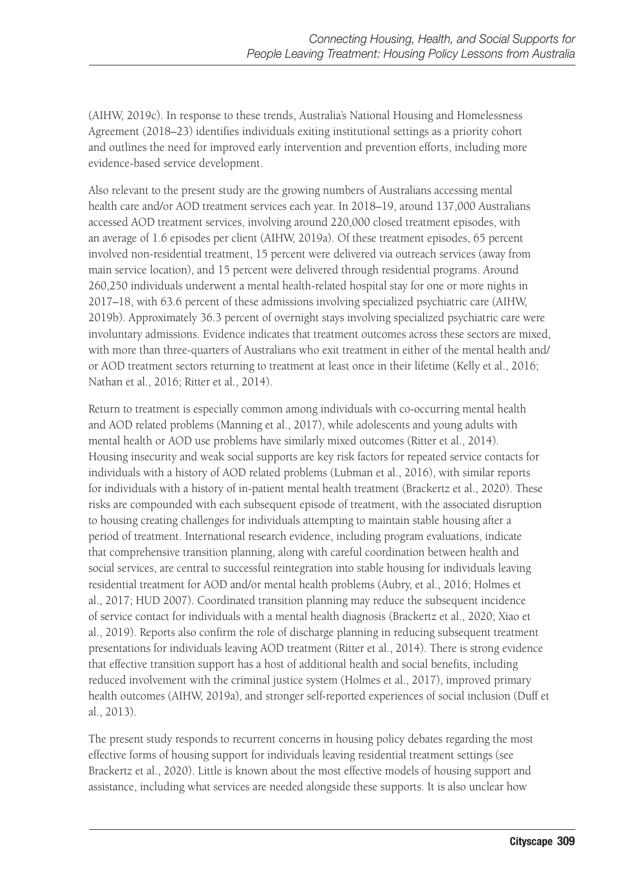(AIHW, 2019c). In response to these trends, Australia's National Housing and Homelessness Agreement (2018–23) identifies individuals exiting institutional settings as a priority cohort and outlines the need for improved early intervention and prevention efforts, including more evidence-based service development.

Also relevant to the present study are the growing numbers of Australians accessing mental health care and/or AOD treatment services each year. In 2018–19, around 137,000 Australians accessed AOD treatment services, involving around 220,000 closed treatment episodes, with an average of 1.6 episodes per client (AIHW, 2019a). Of these treatment episodes, 65 percent involved non-residential treatment, 15 percent were delivered via outreach services (away from main service location), and 15 percent were delivered through residential programs. Around 260,250 individuals underwent a mental health-related hospital stay for one or more nights in 2017–18, with 63.6 percent of these admissions involving specialized psychiatric care (AIHW, 2019b). Approximately 36.3 percent of overnight stays involving specialized psychiatric care were involuntary admissions. Evidence indicates that treatment outcomes across these sectors are mixed, with more than three-quarters of Australians who exit treatment in either of the mental health and/ or AOD treatment sectors returning to treatment at least once in their lifetime (Kelly et al., 2016; Nathan et al., 2016; Ritter et al., 2014).

Return to treatment is especially common among individuals with co-occurring mental health and AOD related problems (Manning et al., 2017), while adolescents and young adults with mental health or AOD use problems have similarly mixed outcomes (Ritter et al., 2014). Housing insecurity and weak social supports are key risk factors for repeated service contacts for individuals with a history of AOD related problems (Lubman et al., 2016), with similar reports for individuals with a history of in-patient mental health treatment (Brackertz et al., 2020). These risks are compounded with each subsequent episode of treatment, with the associated disruption to housing creating challenges for individuals attempting to maintain stable housing after a period of treatment. International research evidence, including program evaluations, indicate that comprehensive transition planning, along with careful coordination between health and social services, are central to successful reintegration into stable housing for individuals leaving residential treatment for AOD and/or mental health problems (Aubry, et al., 2016; Holmes et al., 2017; HUD 2007). Coordinated transition planning may reduce the subsequent incidence of service contact for individuals with a mental health diagnosis (Brackertz et al., 2020; Xiao et al., 2019). Reports also confirm the role of discharge planning in reducing subsequent treatment presentations for individuals leaving AOD treatment (Ritter et al., 2014). There is strong evidence that effective transition support has a host of additional health and social benefits, including reduced involvement with the criminal justice system (Holmes et al., 2017), improved primary health outcomes (AIHW, 2019a), and stronger self-reported experiences of social inclusion (Duff et al., 2013).

The present study responds to recurrent concerns in housing policy debates regarding the most effective forms of housing support for individuals leaving residential treatment settings (see Brackertz et al., 2020). Little is known about the most effective models of housing support and assistance, including what services are needed alongside these supports. It is also unclear how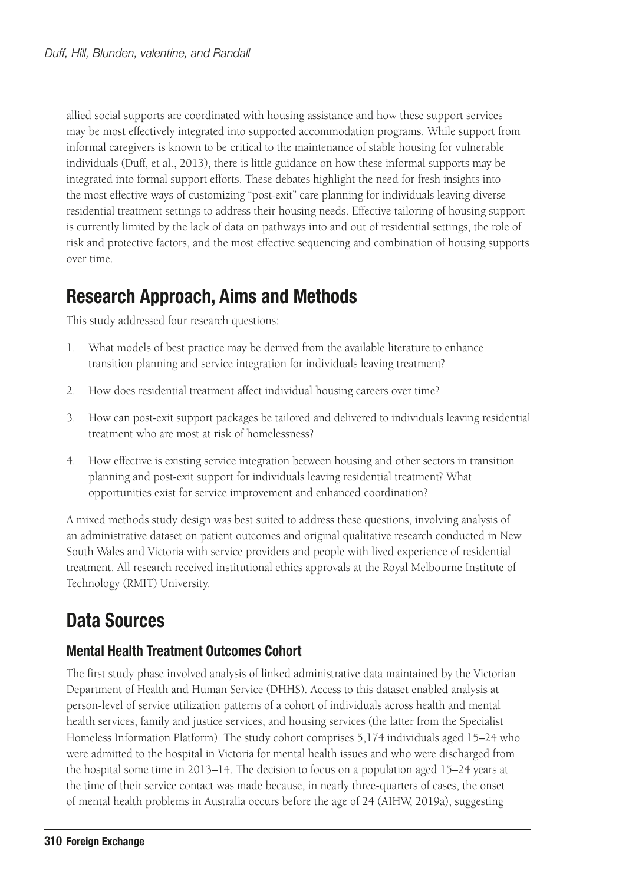allied social supports are coordinated with housing assistance and how these support services may be most effectively integrated into supported accommodation programs. While support from informal caregivers is known to be critical to the maintenance of stable housing for vulnerable individuals (Duff, et al., 2013), there is little guidance on how these informal supports may be integrated into formal support efforts. These debates highlight the need for fresh insights into the most effective ways of customizing "post-exit" care planning for individuals leaving diverse residential treatment settings to address their housing needs. Effective tailoring of housing support is currently limited by the lack of data on pathways into and out of residential settings, the role of risk and protective factors, and the most effective sequencing and combination of housing supports over time.

### Research Approach, Aims and Methods

This study addressed four research questions:

- 1. What models of best practice may be derived from the available literature to enhance transition planning and service integration for individuals leaving treatment?
- 2. How does residential treatment affect individual housing careers over time?
- 3. How can post-exit support packages be tailored and delivered to individuals leaving residential treatment who are most at risk of homelessness?
- 4. How effective is existing service integration between housing and other sectors in transition planning and post-exit support for individuals leaving residential treatment? What opportunities exist for service improvement and enhanced coordination?

A mixed methods study design was best suited to address these questions, involving analysis of an administrative dataset on patient outcomes and original qualitative research conducted in New South Wales and Victoria with service providers and people with lived experience of residential treatment. All research received institutional ethics approvals at the Royal Melbourne Institute of Technology (RMIT) University.

### Data Sources

#### Mental Health Treatment Outcomes Cohort

The first study phase involved analysis of linked administrative data maintained by the Victorian Department of Health and Human Service (DHHS). Access to this dataset enabled analysis at person-level of service utilization patterns of a cohort of individuals across health and mental health services, family and justice services, and housing services (the latter from the Specialist Homeless Information Platform). The study cohort comprises 5,174 individuals aged 15–24 who were admitted to the hospital in Victoria for mental health issues and who were discharged from the hospital some time in 2013–14. The decision to focus on a population aged 15–24 years at the time of their service contact was made because, in nearly three-quarters of cases, the onset of mental health problems in Australia occurs before the age of 24 (AIHW, 2019a), suggesting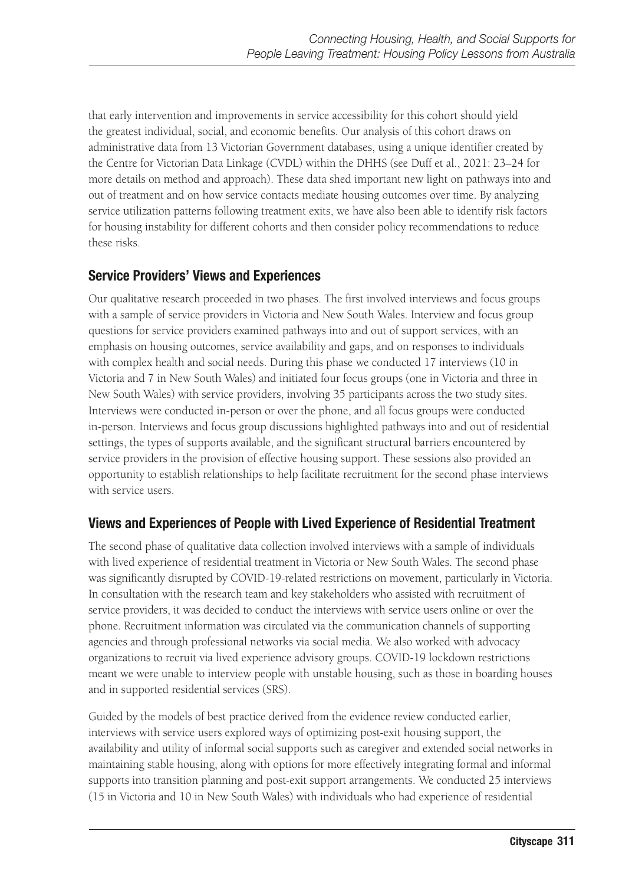that early intervention and improvements in service accessibility for this cohort should yield the greatest individual, social, and economic benefits. Our analysis of this cohort draws on administrative data from 13 Victorian Government databases, using a unique identifier created by the Centre for Victorian Data Linkage (CVDL) within the DHHS (see Duff et al., 2021: 23–24 for more details on method and approach). These data shed important new light on pathways into and out of treatment and on how service contacts mediate housing outcomes over time. By analyzing service utilization patterns following treatment exits, we have also been able to identify risk factors for housing instability for different cohorts and then consider policy recommendations to reduce these risks.

#### Service Providers' Views and Experiences

Our qualitative research proceeded in two phases. The first involved interviews and focus groups with a sample of service providers in Victoria and New South Wales. Interview and focus group questions for service providers examined pathways into and out of support services, with an emphasis on housing outcomes, service availability and gaps, and on responses to individuals with complex health and social needs. During this phase we conducted 17 interviews (10 in Victoria and 7 in New South Wales) and initiated four focus groups (one in Victoria and three in New South Wales) with service providers, involving 35 participants across the two study sites. Interviews were conducted in-person or over the phone, and all focus groups were conducted in-person. Interviews and focus group discussions highlighted pathways into and out of residential settings, the types of supports available, and the significant structural barriers encountered by service providers in the provision of effective housing support. These sessions also provided an opportunity to establish relationships to help facilitate recruitment for the second phase interviews with service users.

#### Views and Experiences of People with Lived Experience of Residential Treatment

The second phase of qualitative data collection involved interviews with a sample of individuals with lived experience of residential treatment in Victoria or New South Wales. The second phase was significantly disrupted by COVID-19-related restrictions on movement, particularly in Victoria. In consultation with the research team and key stakeholders who assisted with recruitment of service providers, it was decided to conduct the interviews with service users online or over the phone. Recruitment information was circulated via the communication channels of supporting agencies and through professional networks via social media. We also worked with advocacy organizations to recruit via lived experience advisory groups. COVID-19 lockdown restrictions meant we were unable to interview people with unstable housing, such as those in boarding houses and in supported residential services (SRS).

Guided by the models of best practice derived from the evidence review conducted earlier, interviews with service users explored ways of optimizing post-exit housing support, the availability and utility of informal social supports such as caregiver and extended social networks in maintaining stable housing, along with options for more effectively integrating formal and informal supports into transition planning and post-exit support arrangements. We conducted 25 interviews (15 in Victoria and 10 in New South Wales) with individuals who had experience of residential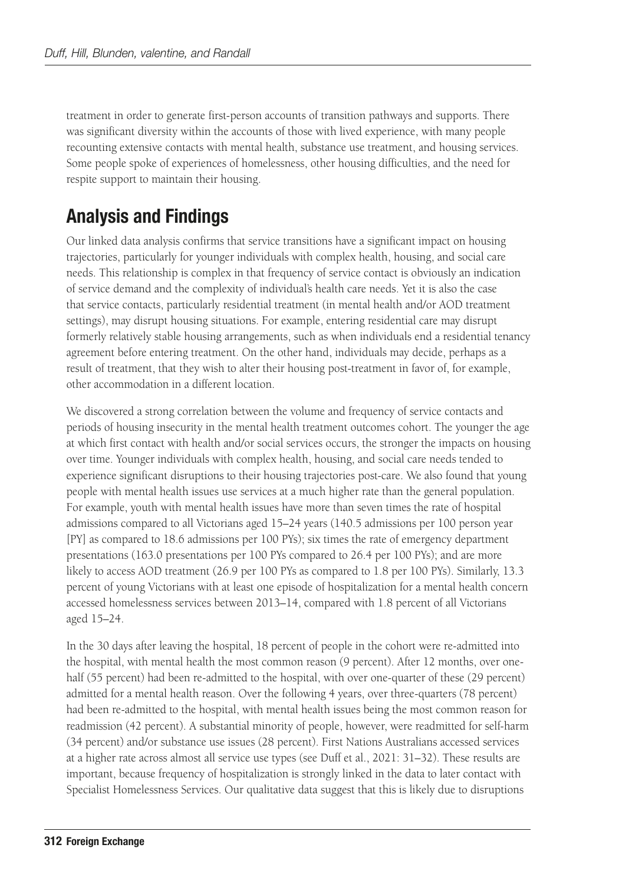treatment in order to generate first-person accounts of transition pathways and supports. There was significant diversity within the accounts of those with lived experience, with many people recounting extensive contacts with mental health, substance use treatment, and housing services. Some people spoke of experiences of homelessness, other housing difficulties, and the need for respite support to maintain their housing.

## Analysis and Findings

Our linked data analysis confirms that service transitions have a significant impact on housing trajectories, particularly for younger individuals with complex health, housing, and social care needs. This relationship is complex in that frequency of service contact is obviously an indication of service demand and the complexity of individual's health care needs. Yet it is also the case that service contacts, particularly residential treatment (in mental health and/or AOD treatment settings), may disrupt housing situations. For example, entering residential care may disrupt formerly relatively stable housing arrangements, such as when individuals end a residential tenancy agreement before entering treatment. On the other hand, individuals may decide, perhaps as a result of treatment, that they wish to alter their housing post-treatment in favor of, for example, other accommodation in a different location.

We discovered a strong correlation between the volume and frequency of service contacts and periods of housing insecurity in the mental health treatment outcomes cohort. The younger the age at which first contact with health and/or social services occurs, the stronger the impacts on housing over time. Younger individuals with complex health, housing, and social care needs tended to experience significant disruptions to their housing trajectories post-care. We also found that young people with mental health issues use services at a much higher rate than the general population. For example, youth with mental health issues have more than seven times the rate of hospital admissions compared to all Victorians aged 15–24 years (140.5 admissions per 100 person year [PY] as compared to 18.6 admissions per 100 PYs); six times the rate of emergency department presentations (163.0 presentations per 100 PYs compared to 26.4 per 100 PYs); and are more likely to access AOD treatment (26.9 per 100 PYs as compared to 1.8 per 100 PYs). Similarly, 13.3 percent of young Victorians with at least one episode of hospitalization for a mental health concern accessed homelessness services between 2013–14, compared with 1.8 percent of all Victorians aged 15–24.

In the 30 days after leaving the hospital, 18 percent of people in the cohort were re-admitted into the hospital, with mental health the most common reason (9 percent). After 12 months, over onehalf (55 percent) had been re-admitted to the hospital, with over one-quarter of these (29 percent) admitted for a mental health reason. Over the following 4 years, over three-quarters (78 percent) had been re-admitted to the hospital, with mental health issues being the most common reason for readmission (42 percent). A substantial minority of people, however, were readmitted for self-harm (34 percent) and/or substance use issues (28 percent). First Nations Australians accessed services at a higher rate across almost all service use types (see Duff et al., 2021: 31–32). These results are important, because frequency of hospitalization is strongly linked in the data to later contact with Specialist Homelessness Services. Our qualitative data suggest that this is likely due to disruptions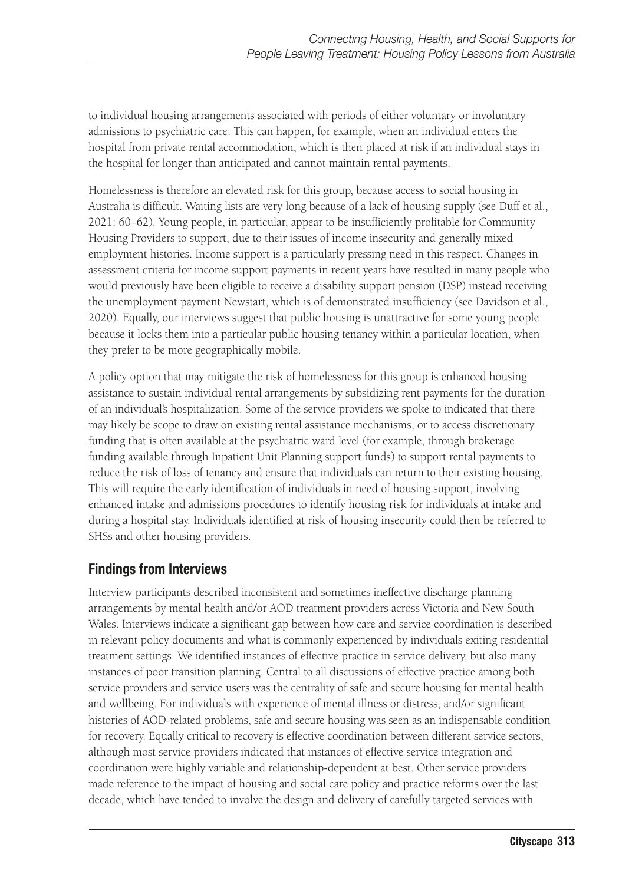to individual housing arrangements associated with periods of either voluntary or involuntary admissions to psychiatric care. This can happen, for example, when an individual enters the hospital from private rental accommodation, which is then placed at risk if an individual stays in the hospital for longer than anticipated and cannot maintain rental payments.

Homelessness is therefore an elevated risk for this group, because access to social housing in Australia is difficult. Waiting lists are very long because of a lack of housing supply (see Duff et al., 2021: 60–62). Young people, in particular, appear to be insufficiently profitable for Community Housing Providers to support, due to their issues of income insecurity and generally mixed employment histories. Income support is a particularly pressing need in this respect. Changes in assessment criteria for income support payments in recent years have resulted in many people who would previously have been eligible to receive a disability support pension (DSP) instead receiving the unemployment payment Newstart, which is of demonstrated insufficiency (see Davidson et al., 2020). Equally, our interviews suggest that public housing is unattractive for some young people because it locks them into a particular public housing tenancy within a particular location, when they prefer to be more geographically mobile.

A policy option that may mitigate the risk of homelessness for this group is enhanced housing assistance to sustain individual rental arrangements by subsidizing rent payments for the duration of an individual's hospitalization. Some of the service providers we spoke to indicated that there may likely be scope to draw on existing rental assistance mechanisms, or to access discretionary funding that is often available at the psychiatric ward level (for example, through brokerage funding available through Inpatient Unit Planning support funds) to support rental payments to reduce the risk of loss of tenancy and ensure that individuals can return to their existing housing. This will require the early identification of individuals in need of housing support, involving enhanced intake and admissions procedures to identify housing risk for individuals at intake and during a hospital stay. Individuals identified at risk of housing insecurity could then be referred to SHSs and other housing providers.

#### Findings from Interviews

Interview participants described inconsistent and sometimes ineffective discharge planning arrangements by mental health and/or AOD treatment providers across Victoria and New South Wales. Interviews indicate a significant gap between how care and service coordination is described in relevant policy documents and what is commonly experienced by individuals exiting residential treatment settings. We identified instances of effective practice in service delivery, but also many instances of poor transition planning. Central to all discussions of effective practice among both service providers and service users was the centrality of safe and secure housing for mental health and wellbeing. For individuals with experience of mental illness or distress, and/or significant histories of AOD-related problems, safe and secure housing was seen as an indispensable condition for recovery. Equally critical to recovery is effective coordination between different service sectors, although most service providers indicated that instances of effective service integration and coordination were highly variable and relationship-dependent at best. Other service providers made reference to the impact of housing and social care policy and practice reforms over the last decade, which have tended to involve the design and delivery of carefully targeted services with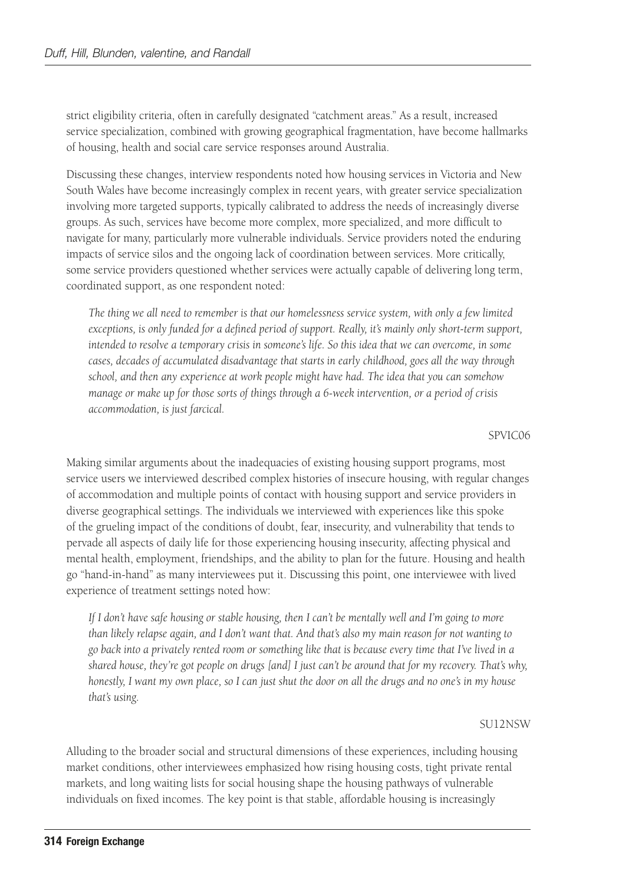strict eligibility criteria, often in carefully designated "catchment areas." As a result, increased service specialization, combined with growing geographical fragmentation, have become hallmarks of housing, health and social care service responses around Australia.

Discussing these changes, interview respondents noted how housing services in Victoria and New South Wales have become increasingly complex in recent years, with greater service specialization involving more targeted supports, typically calibrated to address the needs of increasingly diverse groups. As such, services have become more complex, more specialized, and more difficult to navigate for many, particularly more vulnerable individuals. Service providers noted the enduring impacts of service silos and the ongoing lack of coordination between services. More critically, some service providers questioned whether services were actually capable of delivering long term, coordinated support, as one respondent noted:

*The thing we all need to remember is that our homelessness service system, with only a few limited exceptions, is only funded for a defined period of support. Really, it's mainly only short-term support, intended to resolve a temporary crisis in someone's life. So this idea that we can overcome, in some cases, decades of accumulated disadvantage that starts in early childhood, goes all the way through school, and then any experience at work people might have had. The idea that you can somehow manage or make up for those sorts of things through a 6-week intervention, or a period of crisis accommodation, is just farcical.*

#### SPVIC06

Making similar arguments about the inadequacies of existing housing support programs, most service users we interviewed described complex histories of insecure housing, with regular changes of accommodation and multiple points of contact with housing support and service providers in diverse geographical settings. The individuals we interviewed with experiences like this spoke of the grueling impact of the conditions of doubt, fear, insecurity, and vulnerability that tends to pervade all aspects of daily life for those experiencing housing insecurity, affecting physical and mental health, employment, friendships, and the ability to plan for the future. Housing and health go "hand-in-hand" as many interviewees put it. Discussing this point, one interviewee with lived experience of treatment settings noted how:

*If I don't have safe housing or stable housing, then I can't be mentally well and I'm going to more than likely relapse again, and I don't want that. And that's also my main reason for not wanting to go back into a privately rented room or something like that is because every time that I've lived in a shared house, they're got people on drugs [and] I just can't be around that for my recovery. That's why, honestly, I want my own place, so I can just shut the door on all the drugs and no one's in my house that's using.*

#### SU12NSW

Alluding to the broader social and structural dimensions of these experiences, including housing market conditions, other interviewees emphasized how rising housing costs, tight private rental markets, and long waiting lists for social housing shape the housing pathways of vulnerable individuals on fixed incomes. The key point is that stable, affordable housing is increasingly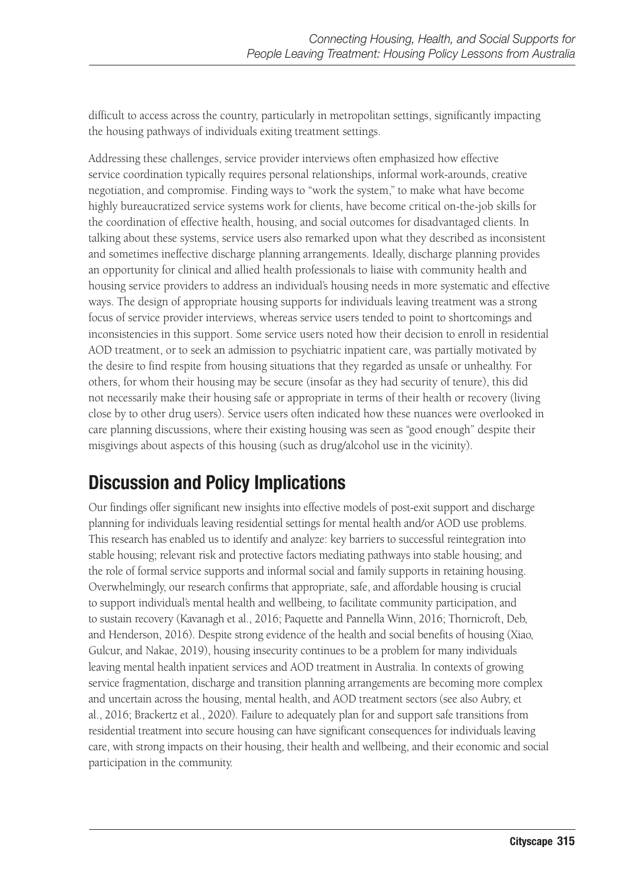difficult to access across the country, particularly in metropolitan settings, significantly impacting the housing pathways of individuals exiting treatment settings.

Addressing these challenges, service provider interviews often emphasized how effective service coordination typically requires personal relationships, informal work-arounds, creative negotiation, and compromise. Finding ways to "work the system," to make what have become highly bureaucratized service systems work for clients, have become critical on-the-job skills for the coordination of effective health, housing, and social outcomes for disadvantaged clients. In talking about these systems, service users also remarked upon what they described as inconsistent and sometimes ineffective discharge planning arrangements. Ideally, discharge planning provides an opportunity for clinical and allied health professionals to liaise with community health and housing service providers to address an individual's housing needs in more systematic and effective ways. The design of appropriate housing supports for individuals leaving treatment was a strong focus of service provider interviews, whereas service users tended to point to shortcomings and inconsistencies in this support. Some service users noted how their decision to enroll in residential AOD treatment, or to seek an admission to psychiatric inpatient care, was partially motivated by the desire to find respite from housing situations that they regarded as unsafe or unhealthy. For others, for whom their housing may be secure (insofar as they had security of tenure), this did not necessarily make their housing safe or appropriate in terms of their health or recovery (living close by to other drug users). Service users often indicated how these nuances were overlooked in care planning discussions, where their existing housing was seen as "good enough" despite their misgivings about aspects of this housing (such as drug/alcohol use in the vicinity).

### Discussion and Policy Implications

Our findings offer significant new insights into effective models of post-exit support and discharge planning for individuals leaving residential settings for mental health and/or AOD use problems. This research has enabled us to identify and analyze: key barriers to successful reintegration into stable housing; relevant risk and protective factors mediating pathways into stable housing; and the role of formal service supports and informal social and family supports in retaining housing. Overwhelmingly, our research confirms that appropriate, safe, and affordable housing is crucial to support individual's mental health and wellbeing, to facilitate community participation, and to sustain recovery (Kavanagh et al., 2016; Paquette and Pannella Winn, 2016; Thornicroft, Deb, and Henderson, 2016). Despite strong evidence of the health and social benefits of housing (Xiao, Gulcur, and Nakae, 2019), housing insecurity continues to be a problem for many individuals leaving mental health inpatient services and AOD treatment in Australia. In contexts of growing service fragmentation, discharge and transition planning arrangements are becoming more complex and uncertain across the housing, mental health, and AOD treatment sectors (see also Aubry, et al., 2016; Brackertz et al., 2020). Failure to adequately plan for and support safe transitions from residential treatment into secure housing can have significant consequences for individuals leaving care, with strong impacts on their housing, their health and wellbeing, and their economic and social participation in the community.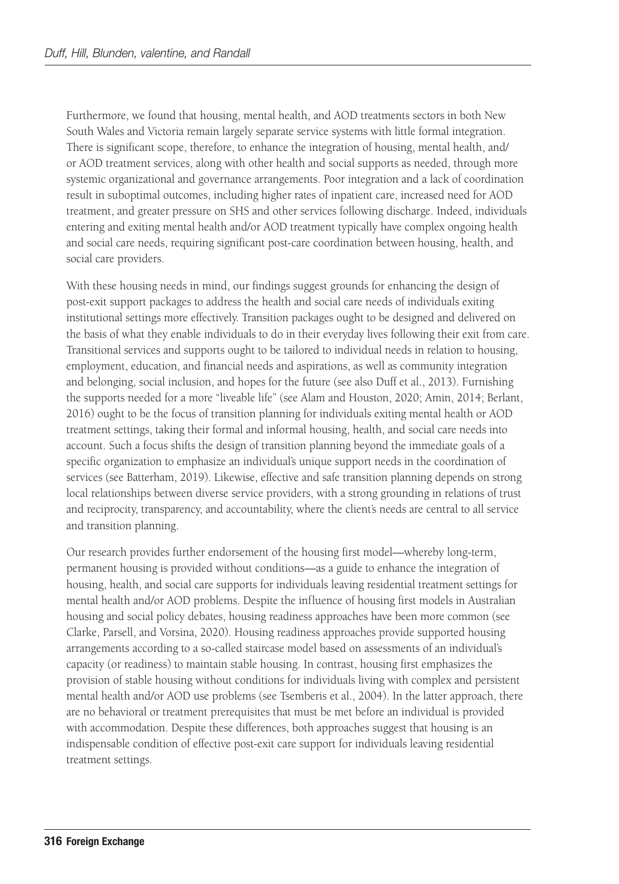Furthermore, we found that housing, mental health, and AOD treatments sectors in both New South Wales and Victoria remain largely separate service systems with little formal integration. There is significant scope, therefore, to enhance the integration of housing, mental health, and/ or AOD treatment services, along with other health and social supports as needed, through more systemic organizational and governance arrangements. Poor integration and a lack of coordination result in suboptimal outcomes, including higher rates of inpatient care, increased need for AOD treatment, and greater pressure on SHS and other services following discharge. Indeed, individuals entering and exiting mental health and/or AOD treatment typically have complex ongoing health and social care needs, requiring significant post-care coordination between housing, health, and social care providers.

With these housing needs in mind, our findings suggest grounds for enhancing the design of post-exit support packages to address the health and social care needs of individuals exiting institutional settings more effectively. Transition packages ought to be designed and delivered on the basis of what they enable individuals to do in their everyday lives following their exit from care. Transitional services and supports ought to be tailored to individual needs in relation to housing, employment, education, and financial needs and aspirations, as well as community integration and belonging, social inclusion, and hopes for the future (see also Duff et al., 2013). Furnishing the supports needed for a more "liveable life" (see Alam and Houston, 2020; Amin, 2014; Berlant, 2016) ought to be the focus of transition planning for individuals exiting mental health or AOD treatment settings, taking their formal and informal housing, health, and social care needs into account. Such a focus shifts the design of transition planning beyond the immediate goals of a specific organization to emphasize an individual's unique support needs in the coordination of services (see Batterham, 2019). Likewise, effective and safe transition planning depends on strong local relationships between diverse service providers, with a strong grounding in relations of trust and reciprocity, transparency, and accountability, where the client's needs are central to all service and transition planning.

Our research provides further endorsement of the housing first model—whereby long-term, permanent housing is provided without conditions—as a guide to enhance the integration of housing, health, and social care supports for individuals leaving residential treatment settings for mental health and/or AOD problems. Despite the influence of housing first models in Australian housing and social policy debates, housing readiness approaches have been more common (see Clarke, Parsell, and Vorsina, 2020). Housing readiness approaches provide supported housing arrangements according to a so-called staircase model based on assessments of an individual's capacity (or readiness) to maintain stable housing. In contrast, housing first emphasizes the provision of stable housing without conditions for individuals living with complex and persistent mental health and/or AOD use problems (see Tsemberis et al., 2004). In the latter approach, there are no behavioral or treatment prerequisites that must be met before an individual is provided with accommodation. Despite these differences, both approaches suggest that housing is an indispensable condition of effective post-exit care support for individuals leaving residential treatment settings.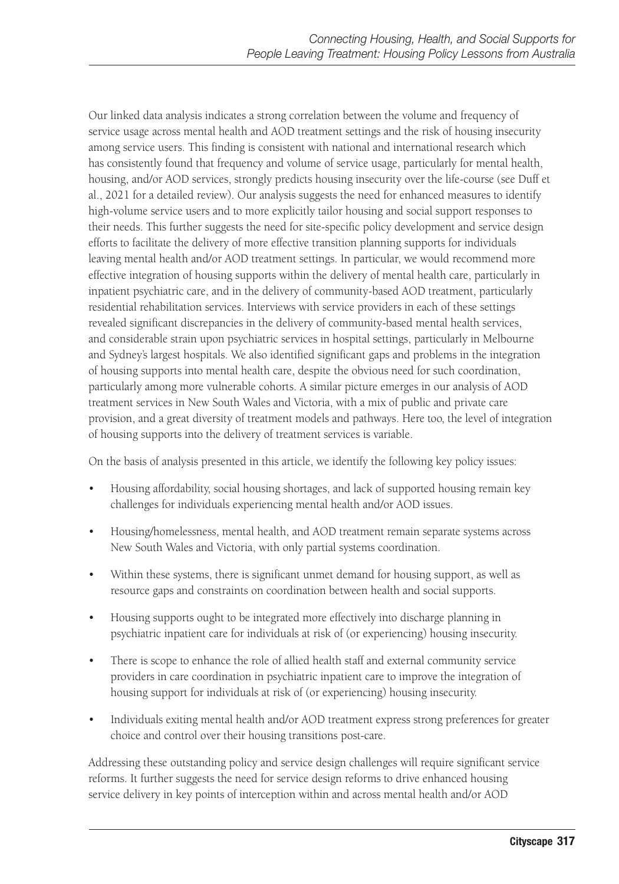Our linked data analysis indicates a strong correlation between the volume and frequency of service usage across mental health and AOD treatment settings and the risk of housing insecurity among service users. This finding is consistent with national and international research which has consistently found that frequency and volume of service usage, particularly for mental health, housing, and/or AOD services, strongly predicts housing insecurity over the life-course (see Duff et al., 2021 for a detailed review). Our analysis suggests the need for enhanced measures to identify high-volume service users and to more explicitly tailor housing and social support responses to their needs. This further suggests the need for site-specific policy development and service design efforts to facilitate the delivery of more effective transition planning supports for individuals leaving mental health and/or AOD treatment settings. In particular, we would recommend more effective integration of housing supports within the delivery of mental health care, particularly in inpatient psychiatric care, and in the delivery of community-based AOD treatment, particularly residential rehabilitation services. Interviews with service providers in each of these settings revealed significant discrepancies in the delivery of community-based mental health services, and considerable strain upon psychiatric services in hospital settings, particularly in Melbourne and Sydney's largest hospitals. We also identified significant gaps and problems in the integration of housing supports into mental health care, despite the obvious need for such coordination, particularly among more vulnerable cohorts. A similar picture emerges in our analysis of AOD treatment services in New South Wales and Victoria, with a mix of public and private care provision, and a great diversity of treatment models and pathways. Here too, the level of integration of housing supports into the delivery of treatment services is variable.

On the basis of analysis presented in this article, we identify the following key policy issues:

- Housing affordability, social housing shortages, and lack of supported housing remain key challenges for individuals experiencing mental health and/or AOD issues.
- Housing/homelessness, mental health, and AOD treatment remain separate systems across New South Wales and Victoria, with only partial systems coordination.
- Within these systems, there is significant unmet demand for housing support, as well as resource gaps and constraints on coordination between health and social supports.
- Housing supports ought to be integrated more effectively into discharge planning in psychiatric inpatient care for individuals at risk of (or experiencing) housing insecurity.
- There is scope to enhance the role of allied health staff and external community service providers in care coordination in psychiatric inpatient care to improve the integration of housing support for individuals at risk of (or experiencing) housing insecurity.
- Individuals exiting mental health and/or AOD treatment express strong preferences for greater choice and control over their housing transitions post-care.

Addressing these outstanding policy and service design challenges will require significant service reforms. It further suggests the need for service design reforms to drive enhanced housing service delivery in key points of interception within and across mental health and/or AOD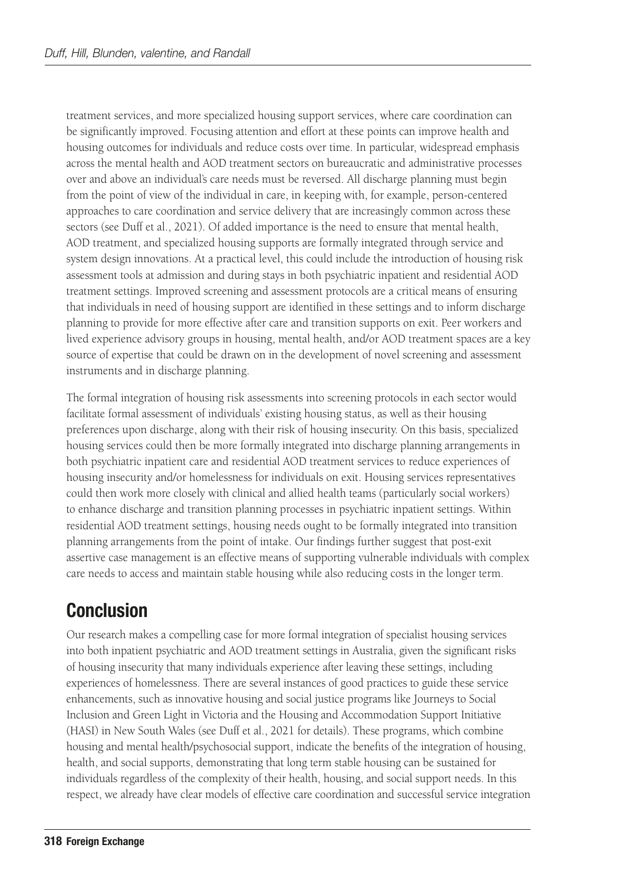treatment services, and more specialized housing support services, where care coordination can be significantly improved. Focusing attention and effort at these points can improve health and housing outcomes for individuals and reduce costs over time. In particular, widespread emphasis across the mental health and AOD treatment sectors on bureaucratic and administrative processes over and above an individual's care needs must be reversed. All discharge planning must begin from the point of view of the individual in care, in keeping with, for example, person-centered approaches to care coordination and service delivery that are increasingly common across these sectors (see Duff et al., 2021). Of added importance is the need to ensure that mental health, AOD treatment, and specialized housing supports are formally integrated through service and system design innovations. At a practical level, this could include the introduction of housing risk assessment tools at admission and during stays in both psychiatric inpatient and residential AOD treatment settings. Improved screening and assessment protocols are a critical means of ensuring that individuals in need of housing support are identified in these settings and to inform discharge planning to provide for more effective after care and transition supports on exit. Peer workers and lived experience advisory groups in housing, mental health, and/or AOD treatment spaces are a key source of expertise that could be drawn on in the development of novel screening and assessment instruments and in discharge planning.

The formal integration of housing risk assessments into screening protocols in each sector would facilitate formal assessment of individuals' existing housing status, as well as their housing preferences upon discharge, along with their risk of housing insecurity. On this basis, specialized housing services could then be more formally integrated into discharge planning arrangements in both psychiatric inpatient care and residential AOD treatment services to reduce experiences of housing insecurity and/or homelessness for individuals on exit. Housing services representatives could then work more closely with clinical and allied health teams (particularly social workers) to enhance discharge and transition planning processes in psychiatric inpatient settings. Within residential AOD treatment settings, housing needs ought to be formally integrated into transition planning arrangements from the point of intake. Our findings further suggest that post-exit assertive case management is an effective means of supporting vulnerable individuals with complex care needs to access and maintain stable housing while also reducing costs in the longer term.

# Conclusion

Our research makes a compelling case for more formal integration of specialist housing services into both inpatient psychiatric and AOD treatment settings in Australia, given the significant risks of housing insecurity that many individuals experience after leaving these settings, including experiences of homelessness. There are several instances of good practices to guide these service enhancements, such as innovative housing and social justice programs like Journeys to Social Inclusion and Green Light in Victoria and the Housing and Accommodation Support Initiative (HASI) in New South Wales (see Duff et al., 2021 for details). These programs, which combine housing and mental health/psychosocial support, indicate the benefits of the integration of housing, health, and social supports, demonstrating that long term stable housing can be sustained for individuals regardless of the complexity of their health, housing, and social support needs. In this respect, we already have clear models of effective care coordination and successful service integration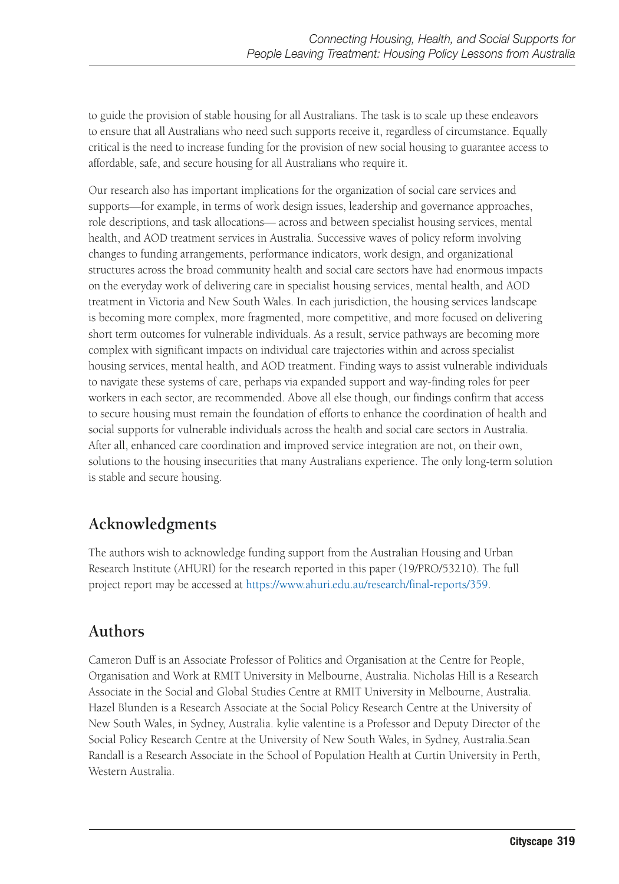to guide the provision of stable housing for all Australians. The task is to scale up these endeavors to ensure that all Australians who need such supports receive it, regardless of circumstance. Equally critical is the need to increase funding for the provision of new social housing to guarantee access to affordable, safe, and secure housing for all Australians who require it.

Our research also has important implications for the organization of social care services and supports—for example, in terms of work design issues, leadership and governance approaches, role descriptions, and task allocations— across and between specialist housing services, mental health, and AOD treatment services in Australia. Successive waves of policy reform involving changes to funding arrangements, performance indicators, work design, and organizational structures across the broad community health and social care sectors have had enormous impacts on the everyday work of delivering care in specialist housing services, mental health, and AOD treatment in Victoria and New South Wales. In each jurisdiction, the housing services landscape is becoming more complex, more fragmented, more competitive, and more focused on delivering short term outcomes for vulnerable individuals. As a result, service pathways are becoming more complex with significant impacts on individual care trajectories within and across specialist housing services, mental health, and AOD treatment. Finding ways to assist vulnerable individuals to navigate these systems of care, perhaps via expanded support and way-finding roles for peer workers in each sector, are recommended. Above all else though, our findings confirm that access to secure housing must remain the foundation of efforts to enhance the coordination of health and social supports for vulnerable individuals across the health and social care sectors in Australia. After all, enhanced care coordination and improved service integration are not, on their own, solutions to the housing insecurities that many Australians experience. The only long-term solution is stable and secure housing.

### **Acknowledgments**

The authors wish to acknowledge funding support from the Australian Housing and Urban Research Institute (AHURI) for the research reported in this paper (19/PRO/53210). The full project report may be accessed at<https://www.ahuri.edu.au/research/final-reports/359>.

### **Authors**

Cameron Duff is an Associate Professor of Politics and Organisation at the Centre for People, Organisation and Work at RMIT University in Melbourne, Australia. Nicholas Hill is a Research Associate in the Social and Global Studies Centre at RMIT University in Melbourne, Australia. Hazel Blunden is a Research Associate at the Social Policy Research Centre at the University of New South Wales, in Sydney, Australia. kylie valentine is a Professor and Deputy Director of the Social Policy Research Centre at the University of New South Wales, in Sydney, Australia.Sean Randall is a Research Associate in the School of Population Health at Curtin University in Perth, Western Australia.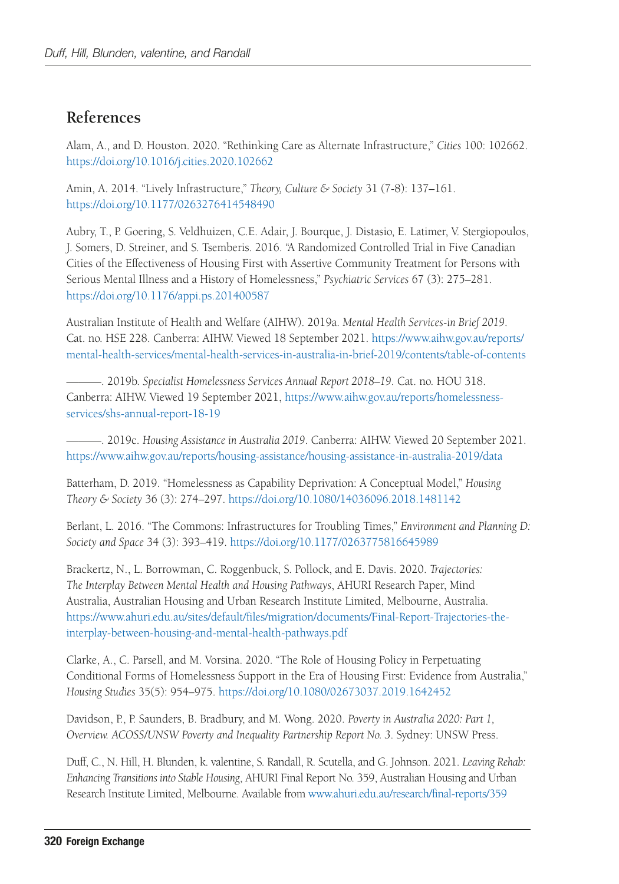#### **References**

Alam, A., and D. Houston. 2020. "Rethinking Care as Alternate Infrastructure," *Cities* 100: 102662. <https://doi.org/10.1016/j.cities.2020.102662>

Amin, A. 2014. "Lively Infrastructure," *Theory, Culture & Society* 31 (7-8): 137–161. <https://doi.org/10.1177/0263276414548490>

Aubry, T., P. Goering, S. Veldhuizen, C.E. Adair, J. Bourque, J. Distasio, E. Latimer, V. Stergiopoulos, J. Somers, D. Streiner, and S. Tsemberis. 2016. "A Randomized Controlled Trial in Five Canadian Cities of the Effectiveness of Housing First with Assertive Community Treatment for Persons with Serious Mental Illness and a History of Homelessness," *Psychiatric Services* 67 (3): 275–281. <https://doi.org/10.1176/appi.ps.201400587>

Australian Institute of Health and Welfare (AIHW). 2019a. *Mental Health Services-in Brief 2019*. Cat. no. HSE 228. Canberra: AIHW. Viewed 18 September 2021. [https://www.aihw.gov.au/reports/](https://www.aihw.gov.au/reports/mental-health-services/mental-health-services-in-australia-in-brief-2019/contents/table-of-contents) [mental-health-services/mental-health-services-in-australia-in-brief-2019/contents/table-of-contents](https://www.aihw.gov.au/reports/mental-health-services/mental-health-services-in-australia-in-brief-2019/contents/table-of-contents)

———. 2019b. *Specialist Homelessness Services Annual Report 2018–19*. Cat. no. HOU 318. Canberra: AIHW. Viewed 19 September 2021, [https://www.aihw.gov.au/reports/homelessness](https://www.aihw.gov.au/reports/homelessness-services/shs-annual-report-18-19)[services/shs-annual-report-18-19](https://www.aihw.gov.au/reports/homelessness-services/shs-annual-report-18-19)

———. 2019c. *Housing Assistance in Australia 2019*. Canberra: AIHW. Viewed 20 September 2021. <https://www.aihw.gov.au/reports/housing-assistance/housing-assistance-in-australia-2019/data>

Batterham, D. 2019. "Homelessness as Capability Deprivation: A Conceptual Model," *Housing Theory & Society* 36 (3): 274–297.<https://doi.org/10.1080/14036096.2018.1481142>

Berlant, L. 2016. "The Commons: Infrastructures for Troubling Times," *Environment and Planning D: Society and Space* 34 (3): 393–419.<https://doi.org/10.1177/0263775816645989>

Brackertz, N., L. Borrowman, C. Roggenbuck, S. Pollock, and E. Davis. 2020. *Trajectories: The Interplay Between Mental Health and Housing Pathways*, AHURI Research Paper, Mind Australia, Australian Housing and Urban Research Institute Limited, Melbourne, Australia. [https://www.ahuri.edu.au/sites/default/files/migration/documents/Final-Report-Trajectories-the](https://www.ahuri.edu.au/sites/default/files/migration/documents/Final-Report-Trajectories-the-interplay-between-housing-and-mental-health-pathways.pdf)[interplay-between-housing-and-mental-health-pathways.pdf](https://www.ahuri.edu.au/sites/default/files/migration/documents/Final-Report-Trajectories-the-interplay-between-housing-and-mental-health-pathways.pdf)

Clarke, A., C. Parsell, and M. Vorsina. 2020. "The Role of Housing Policy in Perpetuating Conditional Forms of Homelessness Support in the Era of Housing First: Evidence from Australia," *Housing Studies* 35(5): 954–975.<https://doi.org/10.1080/02673037.2019.1642452>

Davidson, P., P. Saunders, B. Bradbury, and M. Wong. 2020. *Poverty in Australia 2020: Part 1, Overview. ACOSS/UNSW Poverty and Inequality Partnership Report No. 3*. Sydney: UNSW Press.

Duff, C., N. Hill, H. Blunden, k. valentine, S. Randall, R. Scutella, and G. Johnson. 2021. *Leaving Rehab: Enhancing Transitions into Stable Housing*, AHURI Final Report No. 359, Australian Housing and Urban Research Institute Limited, Melbourne. Available from [www.ahuri.edu.au/research/final-reports/359](http://www.ahuri.edu.au/research/final-reports/359)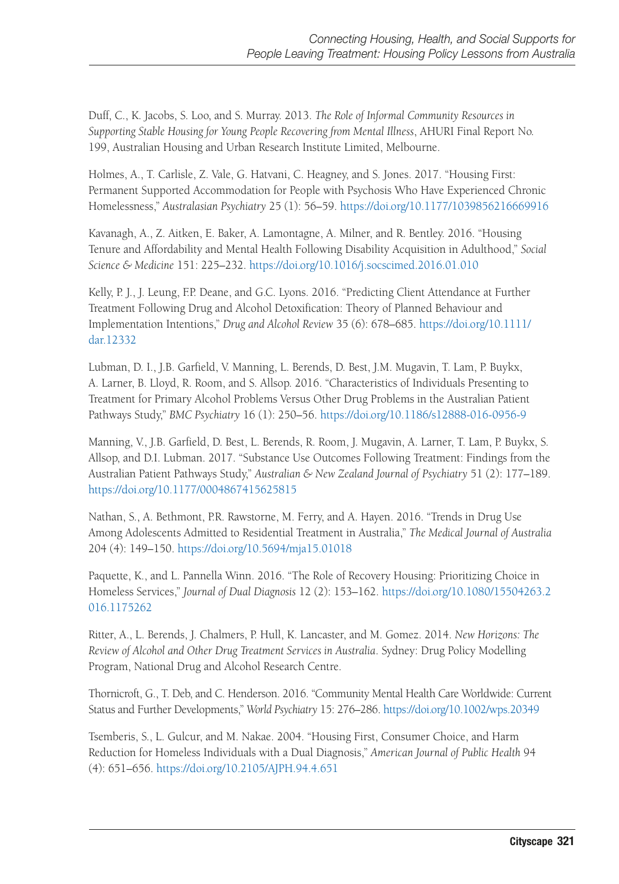Duff, C., K. Jacobs, S. Loo, and S. Murray. 2013. *The Role of Informal Community Resources in Supporting Stable Housing for Young People Recovering from Mental Illness*, AHURI Final Report No. 199, Australian Housing and Urban Research Institute Limited, Melbourne.

Holmes, A., T. Carlisle, Z. Vale, G. Hatvani, C. Heagney, and S. Jones. 2017. "Housing First: Permanent Supported Accommodation for People with Psychosis Who Have Experienced Chronic Homelessness," *Australasian Psychiatry* 25 (1): 56–59.<https://doi.org/10.1177/1039856216669916>

Kavanagh, A., Z. Aitken, E. Baker, A. Lamontagne, A. Milner, and R. Bentley. 2016. "Housing Tenure and Affordability and Mental Health Following Disability Acquisition in Adulthood," *Social Science & Medicine* 151: 225–232.<https://doi.org/10.1016/j.socscimed.2016.01.010>

Kelly, P. J., J. Leung, F.P. Deane, and G.C. Lyons. 2016. "Predicting Client Attendance at Further Treatment Following Drug and Alcohol Detoxification: Theory of Planned Behaviour and Implementation Intentions," *Drug and Alcohol Review* 35 (6): 678–685. [https://doi.org/10.1111/](https://doi.org/10.1111/dar.12332) [dar.12332](https://doi.org/10.1111/dar.12332)

Lubman, D. I., J.B. Garfield, V. Manning, L. Berends, D. Best, J.M. Mugavin, T. Lam, P. Buykx, A. Larner, B. Lloyd, R. Room, and S. Allsop. 2016. "Characteristics of Individuals Presenting to Treatment for Primary Alcohol Problems Versus Other Drug Problems in the Australian Patient Pathways Study," *BMC Psychiatry* 16 (1): 250–56. <https://doi.org/10.1186/s12888-016-0956-9>

Manning, V., J.B. Garfield, D. Best, L. Berends, R. Room, J. Mugavin, A. Larner, T. Lam, P. Buykx, S. Allsop, and D.I. Lubman. 2017. "Substance Use Outcomes Following Treatment: Findings from the Australian Patient Pathways Study," *Australian & New Zealand Journal of Psychiatry* 51 (2): 177–189. <https://doi.org/10.1177/0004867415625815>

Nathan, S., A. Bethmont, P.R. Rawstorne, M. Ferry, and A. Hayen. 2016. "Trends in Drug Use Among Adolescents Admitted to Residential Treatment in Australia," *The Medical Journal of Australia* 204 (4): 149–150. <https://doi.org/10.5694/mja15.01018>

Paquette, K., and L. Pannella Winn. 2016. "The Role of Recovery Housing: Prioritizing Choice in Homeless Services," *Journal of Dual Diagnosis* 12 (2): 153–162. [https://doi.org/10.1080/15504263.2](https://doi.org/10.1080/15504263.2016.1175262) [016.1175262](https://doi.org/10.1080/15504263.2016.1175262)

Ritter, A., L. Berends, J. Chalmers, P. Hull, K. Lancaster, and M. Gomez. 2014. *New Horizons: The Review of Alcohol and Other Drug Treatment Services in Australia*. Sydney: Drug Policy Modelling Program, National Drug and Alcohol Research Centre.

Thornicroft, G., T. Deb, and C. Henderson. 2016. "Community Mental Health Care Worldwide: Current Status and Further Developments," *World Psychiatry* 15: 276–286.<https://doi.org/10.1002/wps.20349>

Tsemberis, S., L. Gulcur, and M. Nakae. 2004. "Housing First, Consumer Choice, and Harm Reduction for Homeless Individuals with a Dual Diagnosis," *American Journal of Public Health* 94 (4): 651–656.<https://doi.org/10.2105/AJPH.94.4.651>